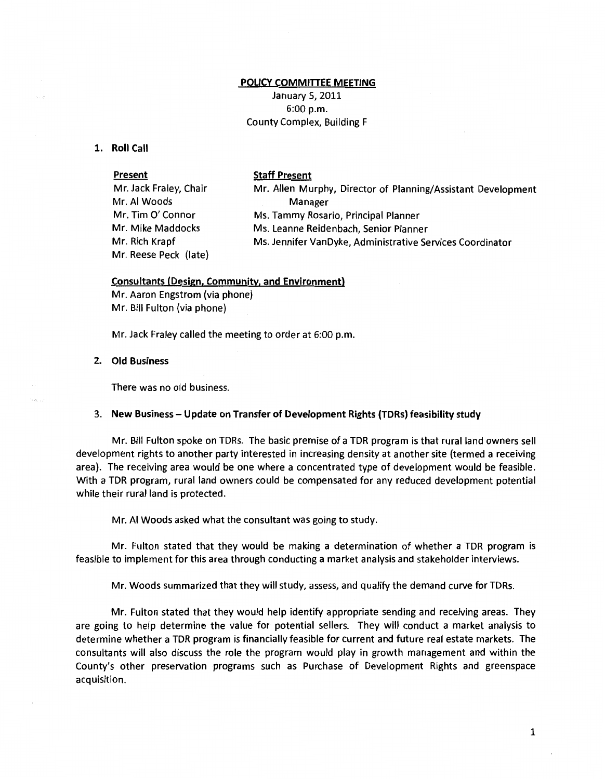## **POLICY COMMITTEE MEETING**

January 5, 2011 6:00 p.m. County Complex, Building F

**1. Roll Call** 

**Present Staff Present**  Mr. Jack Fraley, Chair Mr. AI Woods Mr. Allen Murphy, Director of Planning/Assistant Development Mr. Tim *0'* Connor Mr. Mike Maddocks Mr. Rich Krapf Mr. Reese Peck (late) Manager Ms. Tammy Rosario, Principal Planner Ms. Leanne Reidenbach, Senior Planner Ms. Jennifer VanDyke, Administrative Services Coordinator

## **Consultants (Design, Community, and Environment)**

Mr. Aaron Engstrom (via phone) Mr. Bill Fulton (via phone)

Mr. Jack Fraley called the meeting to order at 6:00 p.m.

**2. Old Business** 

There was no old business.

## 3. **New Business- Update on Transfer of Development Rights (TORs) feasibility study**

Mr. Bill Fulton spoke on TDRs. The basic premise of a TDR program is that rural land owners sell development rights to another party interested in increasing density at another site (termed a receiving area). The receiving area would be one where a concentrated type of development would be feasible. With a TDR program, rural land owners could be compensated for any reduced development potential while their rural land is protected.

Mr. AI Woods asked what the consultant was going to study.

Mr. Fulton stated that they would be making a determination of whether a TDR program is feasible to implement for this area through conducting a market analysis and stakeholder interviews.

Mr. Woods summarized that they will study, *assess,* and qualify the demand curve for TDRs.

Mr. Fulton stated that they would help identify appropriate sending and receiving areas. They are going to help determine the value for potential sellers. They will conduct a market analysis to determine whether a TDR program is financially feasible for current and future real estate markets. The consultants will also discuss the role the program would play in growth management and within the County's other preservation programs such as Purchase of Development Rights and greenspace acquisition.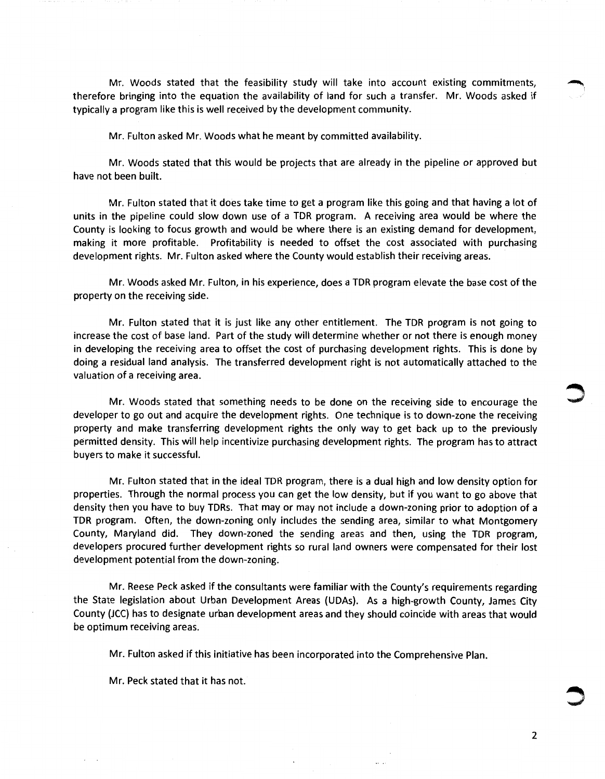Mr. Woods stated that the feasibility study will take into account existing commitments, therefore bringing into the equation the availability of land for such a transfer. Mr. Woods asked if typically a program like this is well received by the development community.

Mr. Fulton asked Mr. Woods what he meant by committed availability.

Mr. Woods stated that this would be projects that are already in the pipeline or approved but have not been built.

Mr. Fulton stated that it does take time to get a program like this going and that having a lot of units in the pipeline could slow down use of a TOR program. A receiving area would be where the County is looking to focus growth and would be where there is an existing demand for development, making it more profitable. Profitability is needed to offset the cost associated with purchasing development rights. Mr. Fulton asked where the County would establish their receiving areas.

Mr. Woods asked Mr. Fulton, in his experience, does a TOR program elevate the base cost of the property on the receiving side.

Mr. Fulton stated that it is just like any other entitlement. The TOR program is not going to increase the cost of base land. Part of the study will determine whether or not there is enough money in developing the receiving area to offset the cost of purchasing development rights. This is done by doing a residual land analysis. The transferred development right is not automatically attached to the valuation of a receiving area.

Mr. Woods stated that something needs to be done on the receiving side to encourage the developer to go out and acquire the development rights. One technique is to down-zone the receiving property and make transferring development rights the only way to get back up to the previously permitted density. This will help incentivize purchasing development rights. The program has to attract buyers to make it successful.

Mr. Fulton stated that in the ideal TOR program, there is a dual high and low density option for properties. Through the normal process you can get the low density, but if you want to go above that density then you have to buy TORs. That may or may not include a down-zoning prior to adoption of a TOR program. Often, the down-zoning only includes the sending area, similar to what Montgomery County, Maryland did. They down-zoned the sending areas and then, using the TOR program, developers procured further development rights so rural land owners were compensated for their lost development potential from the down-zoning.

Mr. Reese Peck asked if the consultants were familiar with the County's requirements regarding the State legislation about Urban Development Areas {UDAs). As a high-growth County, James City County {JCC) has to designate urban development areas and they should coincide with areas that would be optimum receiving areas.

Mr. Fulton asked if this initiative has been incorporated into the Comprehensive Plan.

Mr. Peck stated that it has not.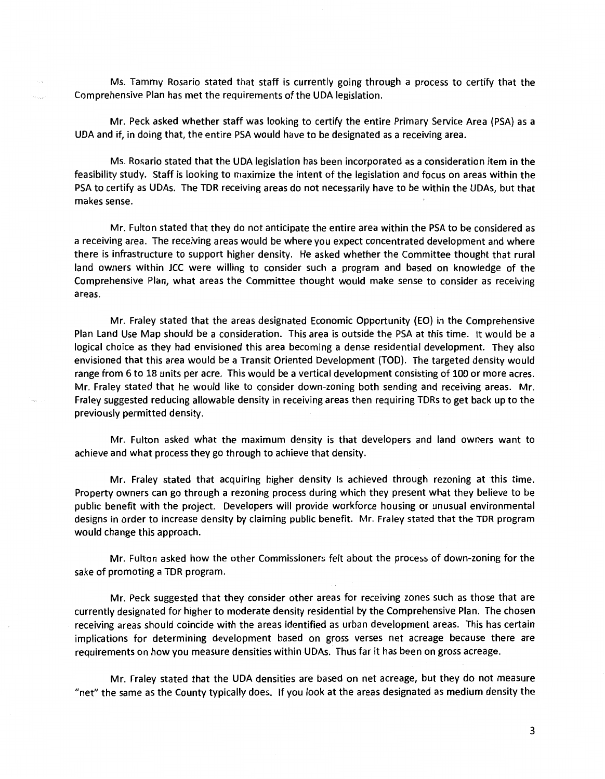Ms. Tammy Rosario stated that staff is currently going through a process to certify that the Comprehensive Plan has met the requirements of the UDA legislation.

Mr. Peck asked whether staff was looking to certify the entire Primary Service Area {PSA) as a UDA and if, in doing that, the entire PSA would have to be designated as a receiving area.

Ms. Rosario stated that the UDA legislation has been incorporated as a consideration item in the feasibility study. Staff is looking to maximize the intent of the legislation and focus on areas within the PSA to certify as UDAs. The TDR receiving areas do not necessarily have to be within the UDAs, but that makes sense.

Mr. Fulton stated that they do not anticipate the entire area within the PSA to be considered as a receiving area. The receiving areas would be where you expect concentrated development and where there is infrastructure to support higher density. He asked whether the Committee thought that rural land owners within JCC were willing to consider such a program and based on knowledge of the Comprehensive Plan, what areas the Committee thought would make sense to consider as receiving areas.

Mr. Fraley stated that the areas designated Economic Opportunity {EO) in the Comprehensive Plan Land Use Map should be a consideration. This area is outside the PSA at this time. It would be a logical choice as they had envisioned this area becoming a dense residential development. They also envisioned that this area would be a Transit Oriented Development {TOD). The targeted density would range from 6 to 18 units per acre. This would be a vertical development consisting of 100 or more acres. Mr. Fraley stated that he would like to consider down-zoning both sending and receiving areas. Mr. Fraley suggested reducing allowable density in receiving areas then requiring TDRs to get back up to the previously permitted density.

Mr. Fulton asked what the maximum density is that developers and land owners want to achieve and what process they go through to achieve that density.

Mr. Fraley stated that acquiring higher density is achieved through rezoning at this time. Property owners can go through a rezoning process during which they present what they believe to be public benefit with the project. Developers will provide workforce housing or unusual environmental designs in order to increase density by claiming public benefit. Mr. Fraley stated that the TOR program would change this approach.

Mr. Fulton asked how the other Commissioners felt about the process of down-zoning for the sake of promoting a TDR program.

Mr. Peck suggested that they consider other areas for receiving zones such as those that are currently designated for higher to moderate density residential by the Comprehensive Plan. The chosen receiving areas should coincide with the areas identified as urban development areas. This has certain implications for determining development based on gross verses net acreage because there are requirements on how you measure densities within UDAs. Thus far it has been on gross acreage.

Mr. Fraley stated that the UDA densities are based on net acreage, but they do not measure "net" the same as the County typically does. If you look at the areas designated as medium density the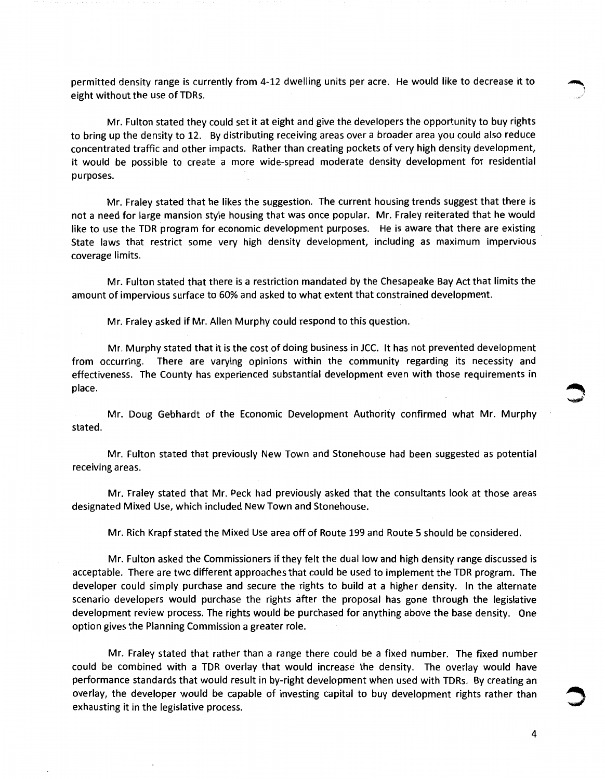permitted density range is currently from 4-12 dwelling units per acre. He would like to decrease it to eight without the use of TDRs.

Mr. Fulton stated they could set it at eight and give the developers the opportunity to buy rights to bring up the density to 12. By distributing receiving areas over a broader area you could also reduce concentrated traffic and other impacts. Rather than creating pockets of very high density development, it would be possible to create a more wide-spread moderate density development for residential purposes.

Mr. Fraley stated that he likes the suggestion. The current housing trends suggest that there is not a need for large mansion style housing that was once popular. Mr. Fraley reiterated that he would like to use the TDR program for economic development purposes. He is aware that there are existing State laws that restrict some very high density development, including as maximum impervious coverage limits.

Mr. Fulton stated that there is a restriction mandated by the Chesapeake Bay Act that limits the amount of impervious surface to 60% and asked to what extent that constrained development.

Mr. Fraley asked if Mr. Allen Murphy could respond to this question.

Mr. Murphy stated that it is the cost of doing business in JCC. It has not prevented development from occurring. There are varying opinions within the community regarding its necessity and effectiveness. The County has experienced substantial development even with those requirements in **and the set of the set of the set of the set of the set of the set of the set of the set of the set of the set of the set o** 

Mr. Doug Gebhardt of the Economic Development Authority confirmed what Mr. Murphy stated.

Mr. Fulton stated that previously New Town and Stonehouse had been suggested as potential receiving areas.

Mr. Fraley stated that Mr. Peck had previously asked that the consultants look at those areas designated Mixed Use, which included New Town and Stonehouse.

Mr. Rich Krapf stated the Mixed Use area off of Route 199 and Route 5 should be considered.

Mr. Fulton asked the Commissioners if they felt the dual low and high density range discussed is acceptable. There are two different approaches that could be used to implement the TDR program. The developer could simply purchase and secure the rights to build at a higher density. In the alternate scenario developers would purchase the rights after the proposal has gone through the legislative development review process. The rights would be purchased for anything above the base density. One option gives the Planning Commission a greater role.

Mr. Fraley stated that rather than a range there could be a fixed number. The fixed number could be combined with a TDR overlay that would increase the density. The overlay would have performance standards that would result in by-right development when used with TDRs. By creating an overlay, the developer would be capable of investing capital to buy development rights rather than ~ exhausting it in the legislative process.

 $\sum$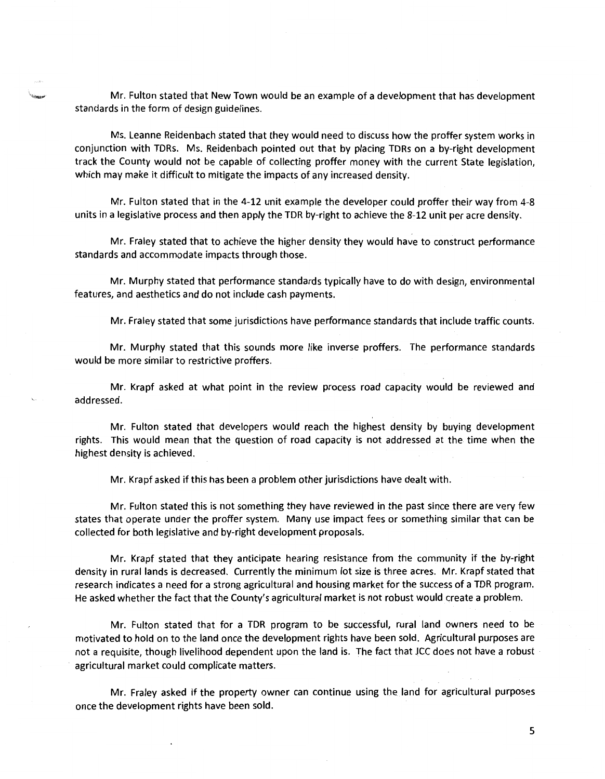Mr. Fulton stated that New Town would be an example of a development that has development standards in the form of design guidelines.

Ms. Leanne Reidenbach stated that they would need to discuss how the proffer system works in conjunction with TORs. Ms. Reidenbach pointed out that by placing TDRs on a by-right development track the County would not be capable of collecting proffer money with the current State legislation, which may make it difficult to mitigate the impacts of any increased density.

Mr. Fulton stated that in the 4-12 unit example the developer could proffer their way from 4-8 units in a legislative process and then apply the TDR by-right to achieve the 8-12 unit per acre density.

Mr. Fraley stated that to achieve the higher density they would have to construct performance standards and accommodate impacts through those.

Mr. Murphy stated that performance standards typically have to do with design, environmental features, and aesthetics and do not include cash payments.

Mr. Fraley stated that some jurisdictions have performance standards that include traffic counts.

Mr. Murphy stated that this sounds more like inverse proffers. The performance standards would be more similar to restrictive proffers.

Mr. Krapf asked at what point in the review process road capacity would be reviewed and addressed.

Mr. Fulton stated that developers would reach the highest density by buying development rights. This would mean that the question of road capacity is not addressed at the time when the highest density is achieved.

Mr. Krapf asked if this has been a problem other jurisdictions have dealt with.

Mr. Fulton stated this is not something they have reviewed in the past since there are very few states that operate under the proffer system. Many use impact fees or something similar that can be collected for both legislative and by-right development proposals.

Mr. Krapf stated that they anticipate hearing resistance from the community if the by-right density in rural lands is decreased. Currently the minimum lot size is three acres. Mr. Krapf stated that research indicates a need for a strong agricultural and housing market for the success of a TDR program. He asked whether the fact that the County's agricultural market is not robust would create a problem.

Mr. Fulton stated that for a TDR program to be successful, rural land owners need to be motivated to hold on to the land once the development rights have been sold. Agricultural purposes are not a requisite, though livelihood dependent upon the land is. The fact that JCC does not have a robust agricultural market could complicate matters.

Mr. Fraley asked if the property owner can continue using the land for agricultural purposes once the development rights have been sold.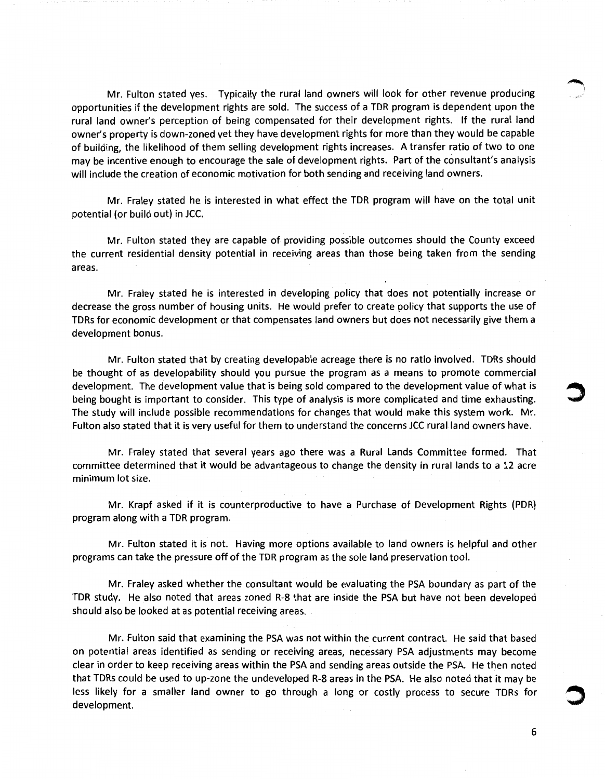Mr. Fulton stated yes. Typically the rural land owners will look for other revenue producing opportunities if the development rights are sold. The success of a TDR program is dependent upon the rural land owner's perception of being compensated for their development rights. If the rural land owner's property is down-zoned yet they have development rights for more than they would be capable of building, the likelihood of them selling development rights increases. A transfer ratio of two to one may be incentive enough to encourage the sale of development rights. Part of the consultant's analysis will include the creation of economic motivation for both sending and receiving land owners.

Mr. Fraley stated he is interested in what effect the TDR program will have on the total unit potential (or build out) in JCC.

Mr. Fulton stated they are capable of providing possible outcomes should the County exceed the current residential density potential in receiving areas than those being taken from the sending areas.

Mr. Fraley stated he is interested in developing policy that does not potentially increase or decrease the gross number of housing units. He would prefer to create policy that supports the use of TORs for economic development or that compensates land owners but does not necessarily give them a development bonus.

Mr. Fulton stated that by creating developable acreage there is no ratio involved. TORs should be thought of as developability should you pursue the program as a means to promote commercial development. The development value that is being sold compared to the development value of what is being bought is important to consider. This type of analysis is more complicated and time exhausting. The study will include possible recommendations for changes that would make this system work. Mr. Fulton also stated that it is very useful for them to understand the concerns JCC rural land owners have.

Mr. Fraley stated that several years ago there was a Rural Lands Committee formed. That committee determined that it would be advantageous to change the density in rural lands to a 12 acre minimum lot size.

Mr. Krapf asked if it is counterproductive to have a Purchase of Development Rights (PDR) program along with a TDR program.

Mr. Fulton stated it is not. Having more options available to land owners is helpful and other programs can take the pressure off of the TDR program as the sole land preservation tool.

Mr. Fraley asked whether the consultant would be evaluating the PSA boundary as part of the TDR study. He also noted that areas zoned R-8 that are inside the PSA but have not been developed should also be looked at as potential receiving areas.

Mr. Fulton said that examining the PSA was not within the current contract. He said that based on potential areas identified as sending or receiving areas, necessary PSA adjustments may become clear in order to keep receiving areas within the PSA and sending areas outside the PSA. He then noted that TORs could be used to up-zone the undeveloped R-8 areas in the PSA. He also noted that it may be less likely for a smaller land owner to go through a long or costly process to secure TORs for development.